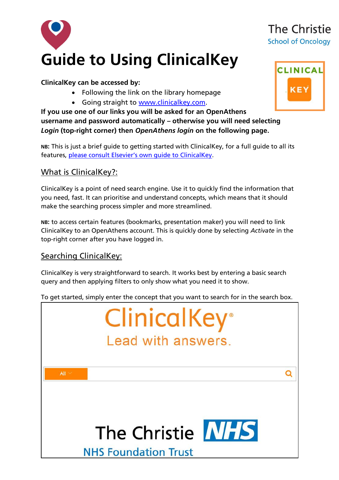

#### **ClinicalKey can be accessed by:**

- Following the link on the library homepage
- Going straight to [www.clinicalkey.com.](http://www.clinicalkey.com/)

**If you use one of our links you will be asked for an OpenAthens username and password automatically – otherwise you will need selecting**  *Login* **(top-right corner) then** *OpenAthens login* **on the following page.** 

**NB:** This is just a brief guide to getting started with ClinicalKey, for a full guide to all its features, [please consult Elsevier's own guide to ClinicalKey](https://www.clinicalkey.com/info/uk/wp-content/uploads/sites/15/2014/09/CK_UserGuide_Version2.0.pdf).

### What is ClinicalKey?:

ClinicalKey is a point of need search engine. Use it to quickly find the information that you need, fast. It can prioritise and understand concepts, which means that it should make the searching process simpler and more streamlined.

**NB:** to access certain features (bookmarks, presentation maker) you will need to link ClinicalKey to an OpenAthens account. This is quickly done by selecting *Activate* in the top-right corner after you have logged in.

### Searching ClinicalKey:

ClinicalKey is very straightforward to search. It works best by entering a basic search query and then applying filters to only show what you need it to show.

To get started, simply enter the concept that you want to search for in the search box.





# The Christie **School of Oncology**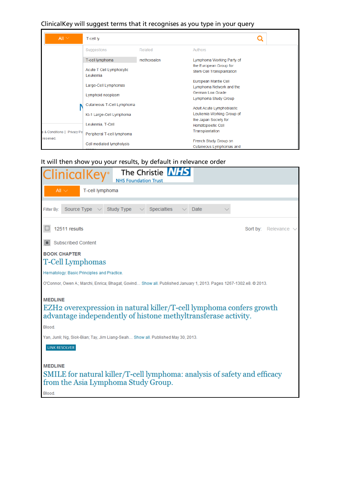### ClinicalKey will suggest terms that it recognises as you type in your query

| All $\vee$                               | T-cell ly                            |             |                                  |  |  |
|------------------------------------------|--------------------------------------|-------------|----------------------------------|--|--|
|                                          | Suggestions                          | Related     | Authors                          |  |  |
|                                          | T-cell lymphoma                      | methoxsalen | Lymphoma Working Party of        |  |  |
|                                          |                                      |             | the European Group for           |  |  |
|                                          | Acute T Cell Lymphocytic<br>Leukemia |             | Stem Cell Transplantation        |  |  |
|                                          |                                      |             | European Mantle Cell             |  |  |
|                                          | Large-Cell Lymphomas                 |             | Lymphoma Network and the         |  |  |
|                                          | Lymphoid neoplasm                    |             | German Low Grade                 |  |  |
|                                          |                                      |             | Lymphoma Study Group             |  |  |
|                                          | Cutaneous T-Cell Lymphoma            |             | <b>Adult Acute Lymphoblastic</b> |  |  |
|                                          | Ki-1 Large-Cell Lymphoma             |             | Leukemia Working Group of        |  |  |
|                                          |                                      |             | the Japan Society for            |  |  |
| s & Conditions   Privacy Po<br>reserved. | Leukemia, T-Cell                     |             | Hematopoietic Cell               |  |  |
|                                          | Peripheral T-cell lymphoma           |             | Transplantation                  |  |  |
|                                          | Cell mediated lympholysis            |             | French Study Group on            |  |  |
|                                          |                                      |             | Cutaneous Lymphomas and          |  |  |

### It will then show you your results, by default in relevance order

| The Christie <b>NHS</b><br>ClinicalKey <sup>®</sup><br><b>NHS Foundation Trust</b>                                                                                                                                                                                                         |
|--------------------------------------------------------------------------------------------------------------------------------------------------------------------------------------------------------------------------------------------------------------------------------------------|
| All $\vee$<br>T-cell lymphoma                                                                                                                                                                                                                                                              |
| Specialties<br>Source Type $\vee$ Study Type<br>Date<br>Filter By:                                                                                                                                                                                                                         |
| 12511 results<br>Sort by: Relevance $\vee$                                                                                                                                                                                                                                                 |
| <b>Subscribed Content</b>                                                                                                                                                                                                                                                                  |
| <b>BOOK CHAPTER</b><br>T-Cell Lymphomas                                                                                                                                                                                                                                                    |
| Hematology: Basic Principles and Practice.                                                                                                                                                                                                                                                 |
| O'Connor, Owen A.; Marchi, Enrica; Bhagat, Govind Show all. Published January 1, 2013. Pages 1267-1302.e8. © 2013.                                                                                                                                                                         |
| <b>MEDLINE</b><br>EZH <sub>2</sub> overexpression in natural killer/T-cell lymphoma confers growth<br>advantage independently of histone methyltransferase activity.<br>Blood.<br>Yan, Junli; Ng, Siok-Bian; Tay, Jim Liang-Seah Show all, Published May 30, 2013.<br><b>LINK RESOLVER</b> |
| <b>MEDLINE</b><br>SMILE for natural killer/T-cell lymphoma: analysis of safety and efficacy<br>from the Asia Lymphoma Study Group.<br>Blood.                                                                                                                                               |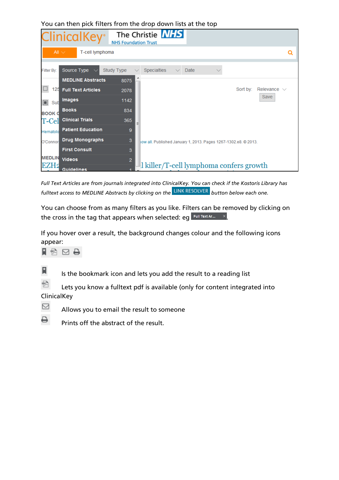|                  | <b>ClinicalKey</b> <sup>®</sup> | The Christie <b>NHS</b><br><b>NHS Foundation Trust</b>               |                  |
|------------------|---------------------------------|----------------------------------------------------------------------|------------------|
|                  | All $\vee$<br>T-cell lymphoma   |                                                                      | Q                |
| Filter By:       | Source Type                     | <b>Study Type</b><br><b>Specialties</b><br>Date<br>$\checkmark$      |                  |
|                  | <b>MEDLINE Abstracts</b>        | 8075                                                                 |                  |
| 125              | <b>Full Text Articles</b>       | Sort by:<br>2078                                                     | Relevance $\vee$ |
| $\Box$<br>Sut    | <b>Images</b>                   | 1142                                                                 | Save             |
| <b>BOOK O</b>    | <b>Books</b>                    | 834                                                                  |                  |
| T-Cel            | <b>Clinical Trials</b>          | 365                                                                  |                  |
| Hematolo         | <b>Patient Education</b>        | 9                                                                    |                  |
| O'Connor         | <b>Drug Monographs</b>          | 3<br>low all. Published January 1, 2013. Pages 1267-1302.e8. © 2013. |                  |
|                  | <b>First Consult</b>            | 3                                                                    |                  |
| <b>MEDLIN</b>    | <b>Videos</b>                   | $\overline{2}$                                                       |                  |
| EZH <sub>2</sub> | <b>Guidelines</b>               | l killer/T-cell lymphoma confers growth                              |                  |

You can then pick filters from the drop down lists at the top

*Full Text Articles are from journals integrated into ClinicalKey. You can check if the Kostoris Library has fulltext access to MEDLINE Abstracts by clicking on the* **LINK RESOLVER** *button below each one.* 

You can choose from as many filters as you like. Filters can be removed by clicking on the cross in the tag that appears when selected: eg  $\frac{F^{\text{full Text Ar...}}}{F^{\text{full Text Ar...}}}$ 

If you hover over a result, the background changes colour and the following icons appear:

 $A \boxtimes B$ 



Is the bookmark icon and lets you add the result to a reading list

骨 Lets you know a fulltext pdf is available (only for content integrated into ClinicalKey



Allows you to email the result to someone



Prints off the abstract of the result.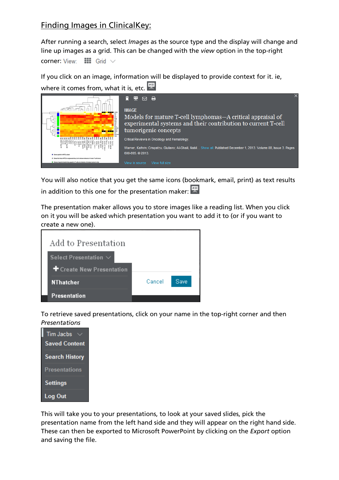## Finding Images in ClinicalKey:

After running a search, select *Images* as the source type and the display will change and line up images as a grid. This can be changed with the *view* option in the top-right corner:  $View:$   $III$  Grid  $\vee$ 

If you click on an image, information will be displayed to provide context for it. ie,



You will also notice that you get the same icons (bookmark, email, print) as text results in addition to this one for the presentation maker:  $\mathbb R$ 

The presentation maker allows you to store images like a reading list. When you click on it you will be asked which presentation you want to add it to (or if you want to create a new one).



To retrieve saved presentations, click on your name in the top-right corner and then *Presentations*

| <b>Tim Jacbs</b>      |  |  |
|-----------------------|--|--|
| <b>Saved Content</b>  |  |  |
| <b>Search History</b> |  |  |
| <b>Presentations</b>  |  |  |
| <b>Settings</b>       |  |  |
| Log Out               |  |  |

This will take you to your presentations, to look at your saved slides, pick the presentation name from the left hand side and they will appear on the right hand side. These can then be exported to Microsoft PowerPoint by clicking on the *Export* option and saving the file.